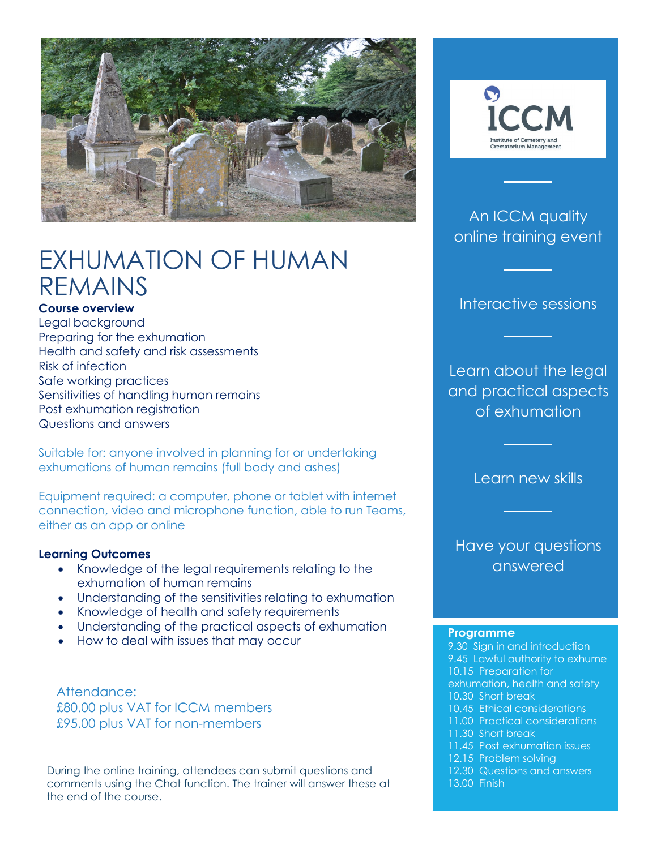

# EXHUMATION OF HUMAN REMAINS

### **Course overview**

Legal background Preparing for the exhumation Health and safety and risk assessments Risk of infection Safe working practices Sensitivities of handling human remains Post exhumation registration Questions and answers

Suitable for: anyone involved in planning for or undertaking exhumations of human remains (full body and ashes)

Equipment required: a computer, phone or tablet with internet connection, video and microphone function, able to run Teams, either as an app or online

### **Learning Outcomes**

- Knowledge of the legal requirements relating to the exhumation of human remains
- Understanding of the sensitivities relating to exhumation
- Knowledge of health and safety requirements
- Understanding of the practical aspects of exhumation
- How to deal with issues that may occur

Attendance: £80.00 plus VAT for ICCM members £95.00 plus VAT for non-members

During the online training, attendees can submit questions and comments using the Chat function. The trainer will answer these at the end of the course.



### An ICCM quality online training event

Interactive sessions

Learn about the legal and practical aspects of exhumation

Learn new skills

Have your questions answered

#### **Programme**

9.30 Sign in and introduction 9.45 Lawful authority to exhume 10.15 Preparation for exhumation, health and safety 10.30 Short break 10.45 Ethical considerations 11.00 Practical considerations 11.30 Short break 11.45 Post exhumation issues 12.15 Problem solving

- 12.30 Questions and answers
- 13.00 Finish